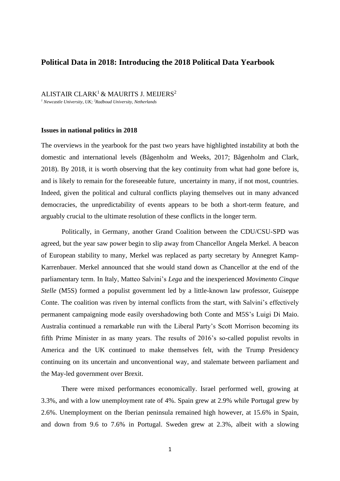# **Political Data in 2018: Introducing the 2018 Political Data Yearbook**

ALISTAIR CLARK<sup>1</sup> & MAURITS J. MEIJERS<sup>2</sup>

*<sup>1</sup> Newcastle University, UK; <sup>2</sup>Radboud University, Netherlands*

#### **Issues in national politics in 2018**

The overviews in the yearbook for the past two years have highlighted instability at both the domestic and international levels (Bågenholm and Weeks, 2017; Bågenholm and Clark, 2018). By 2018, it is worth observing that the key continuity from what had gone before is, and is likely to remain for the foreseeable future, uncertainty in many, if not most, countries. Indeed, given the political and cultural conflicts playing themselves out in many advanced democracies, the unpredictability of events appears to be both a short-term feature, and arguably crucial to the ultimate resolution of these conflicts in the longer term.

Politically, in Germany, another Grand Coalition between the CDU/CSU-SPD was agreed, but the year saw power begin to slip away from Chancellor Angela Merkel. A beacon of European stability to many, Merkel was replaced as party secretary by Annegret Kamp-Karrenbauer. Merkel announced that she would stand down as Chancellor at the end of the parliamentary term. In Italy, Matteo Salvini's *Lega* and the inexperienced *Movimento Cinque Stelle* (M5S) formed a populist government led by a little-known law professor, Guiseppe Conte. The coalition was riven by internal conflicts from the start, with Salvini's effectively permanent campaigning mode easily overshadowing both Conte and M5S's Luigi Di Maio. Australia continued a remarkable run with the Liberal Party's Scott Morrison becoming its fifth Prime Minister in as many years. The results of 2016's so-called populist revolts in America and the UK continued to make themselves felt, with the Trump Presidency continuing on its uncertain and unconventional way, and stalemate between parliament and the May-led government over Brexit.

There were mixed performances economically. Israel performed well, growing at 3.3%, and with a low unemployment rate of 4%. Spain grew at 2.9% while Portugal grew by 2.6%. Unemployment on the Iberian peninsula remained high however, at 15.6% in Spain, and down from 9.6 to 7.6% in Portugal. Sweden grew at 2.3%, albeit with a slowing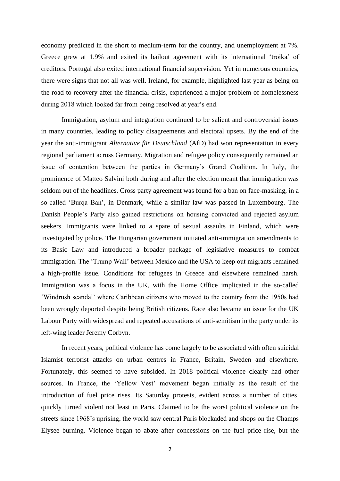economy predicted in the short to medium-term for the country, and unemployment at 7%. Greece grew at 1.9% and exited its bailout agreement with its international 'troika' of creditors. Portugal also exited international financial supervision. Yet in numerous countries, there were signs that not all was well. Ireland, for example, highlighted last year as being on the road to recovery after the financial crisis, experienced a major problem of homelessness during 2018 which looked far from being resolved at year's end.

Immigration, asylum and integration continued to be salient and controversial issues in many countries, leading to policy disagreements and electoral upsets. By the end of the year the anti-immigrant *Alternative für Deutschland* (AfD) had won representation in every regional parliament across Germany. Migration and refugee policy consequently remained an issue of contention between the parties in Germany's Grand Coalition. In Italy, the prominence of Matteo Salvini both during and after the election meant that immigration was seldom out of the headlines. Cross party agreement was found for a ban on face-masking, in a so-called 'Burqa Ban', in Denmark, while a similar law was passed in Luxembourg. The Danish People's Party also gained restrictions on housing convicted and rejected asylum seekers. Immigrants were linked to a spate of sexual assaults in Finland, which were investigated by police. The Hungarian government initiated anti-immigration amendments to its Basic Law and introduced a broader package of legislative measures to combat immigration. The 'Trump Wall' between Mexico and the USA to keep out migrants remained a high-profile issue. Conditions for refugees in Greece and elsewhere remained harsh. Immigration was a focus in the UK, with the Home Office implicated in the so-called 'Windrush scandal' where Caribbean citizens who moved to the country from the 1950s had been wrongly deported despite being British citizens. Race also became an issue for the UK Labour Party with widespread and repeated accusations of anti-semitism in the party under its left-wing leader Jeremy Corbyn.

In recent years, political violence has come largely to be associated with often suicidal Islamist terrorist attacks on urban centres in France, Britain, Sweden and elsewhere. Fortunately, this seemed to have subsided. In 2018 political violence clearly had other sources. In France, the 'Yellow Vest' movement began initially as the result of the introduction of fuel price rises. Its Saturday protests, evident across a number of cities, quickly turned violent not least in Paris. Claimed to be the worst political violence on the streets since 1968's uprising, the world saw central Paris blockaded and shops on the Champs Elysee burning. Violence began to abate after concessions on the fuel price rise, but the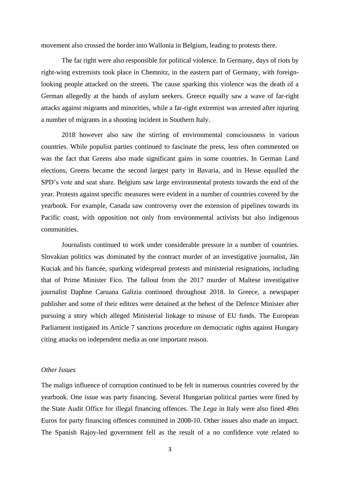movement also crossed the border into Wallonia in Belgium, leading to protests there.

The far right were also responsible for political violence. In Germany, days of riots by right-wing extremists took place in Chemnitz, in the eastern part of Germany, with foreignlooking people attacked on the streets. The cause sparking this violence was the death of a German allegedly at the hands of asylum seekers. Greece equally saw a wave of far-right attacks against migrants and minorities, while a far-right extremist was arrested after injuring a number of migrants in a shooting incident in Southern Italy.

2018 however also saw the stirring of environmental consciousness in various countries. While populist parties continued to fascinate the press, less often commented on was the fact that Greens also made significant gains in some countries. In German Land elections, Greens became the second largest party in Bavaria, and in Hesse equalled the SPD's vote and seat share. Belgium saw large environmental protests towards the end of the year. Protests against specific measures were evident in a number of countries covered by the yearbook. For example, Canada saw controversy over the extension of pipelines towards its Pacific coast, with opposition not only from environmental activists but also indigenous communities.

Journalists continued to work under considerable pressure in a number of countries. Slovakian politics was dominated by the contract murder of an investigative journalist, Ján Kuciak and his fiancée, sparking widespread protests and ministerial resignations, including that of Prime Minister Fico. The fallout from the 2017 murder of Maltese investigative journalist Daphne Caruana Galizia continued throughout 2018. In Greece, a newspaper publisher and some of their editors were detained at the behest of the Defence Minister after pursuing a story which alleged Ministerial linkage to misuse of EU funds. The European Parliament instigated its Article 7 sanctions procedure on democratic rights against Hungary citing attacks on independent media as one important reason.

#### *Other Issues*

The malign influence of corruption continued to be felt in numerous countries covered by the yearbook. One issue was party financing. Several Hungarian political parties were fined by the State Audit Office for illegal financing offences. The *Lega* in Italy were also fined 49m Euros for party financing offences committed in 2008-10. Other issues also made an impact. The Spanish Rajoy-led government fell as the result of a no confidence vote related to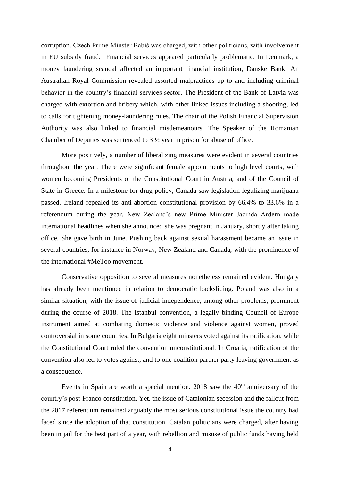corruption. Czech Prime Minster Babiš was charged, with other politicians, with involvement in EU subsidy fraud. Financial services appeared particularly problematic. In Denmark, a money laundering scandal affected an important financial institution, Danske Bank. An Australian Royal Commission revealed assorted malpractices up to and including criminal behavior in the country's financial services sector. The President of the Bank of Latvia was charged with extortion and bribery which, with other linked issues including a shooting, led to calls for tightening money-laundering rules. The chair of the Polish Financial Supervision Authority was also linked to financial misdemeanours. The Speaker of the Romanian Chamber of Deputies was sentenced to 3 ½ year in prison for abuse of office.

More positively, a number of liberalizing measures were evident in several countries throughout the year. There were significant female appointments to high level courts, with women becoming Presidents of the Constitutional Court in Austria, and of the Council of State in Greece. In a milestone for drug policy, Canada saw legislation legalizing marijuana passed. Ireland repealed its anti-abortion constitutional provision by 66.4% to 33.6% in a referendum during the year. New Zealand's new Prime Minister Jacinda Ardern made international headlines when she announced she was pregnant in January, shortly after taking office. She gave birth in June. Pushing back against sexual harassment became an issue in several countries, for instance in Norway, New Zealand and Canada, with the prominence of the international #MeToo movement.

Conservative opposition to several measures nonetheless remained evident. Hungary has already been mentioned in relation to democratic backsliding. Poland was also in a similar situation, with the issue of judicial independence, among other problems, prominent during the course of 2018. The Istanbul convention, a legally binding Council of Europe instrument aimed at combating domestic violence and violence against women, proved controversial in some countries. In Bulgaria eight minsters voted against its ratification, while the Constitutional Court ruled the convention unconstitutional. In Croatia, ratification of the convention also led to votes against, and to one coalition partner party leaving government as a consequence.

Events in Spain are worth a special mention. 2018 saw the  $40<sup>th</sup>$  anniversary of the country's post-Franco constitution. Yet, the issue of Catalonian secession and the fallout from the 2017 referendum remained arguably the most serious constitutional issue the country had faced since the adoption of that constitution. Catalan politicians were charged, after having been in jail for the best part of a year, with rebellion and misuse of public funds having held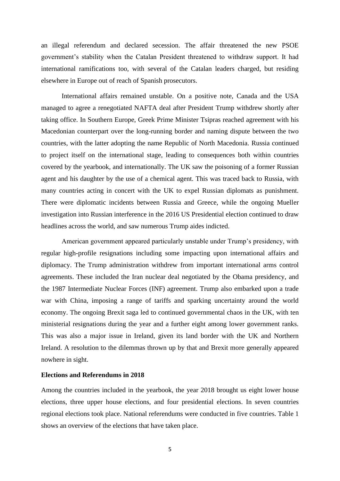an illegal referendum and declared secession. The affair threatened the new PSOE government's stability when the Catalan President threatened to withdraw support. It had international ramifications too, with several of the Catalan leaders charged, but residing elsewhere in Europe out of reach of Spanish prosecutors.

International affairs remained unstable. On a positive note, Canada and the USA managed to agree a renegotiated NAFTA deal after President Trump withdrew shortly after taking office. In Southern Europe, Greek Prime Minister Tsipras reached agreement with his Macedonian counterpart over the long-running border and naming dispute between the two countries, with the latter adopting the name Republic of North Macedonia. Russia continued to project itself on the international stage, leading to consequences both within countries covered by the yearbook, and internationally. The UK saw the poisoning of a former Russian agent and his daughter by the use of a chemical agent. This was traced back to Russia, with many countries acting in concert with the UK to expel Russian diplomats as punishment. There were diplomatic incidents between Russia and Greece, while the ongoing Mueller investigation into Russian interference in the 2016 US Presidential election continued to draw headlines across the world, and saw numerous Trump aides indicted.

American government appeared particularly unstable under Trump's presidency, with regular high-profile resignations including some impacting upon international affairs and diplomacy. The Trump administration withdrew from important international arms control agreements. These included the Iran nuclear deal negotiated by the Obama presidency, and the 1987 Intermediate Nuclear Forces (INF) agreement. Trump also embarked upon a trade war with China, imposing a range of tariffs and sparking uncertainty around the world economy. The ongoing Brexit saga led to continued governmental chaos in the UK, with ten ministerial resignations during the year and a further eight among lower government ranks. This was also a major issue in Ireland, given its land border with the UK and Northern Ireland. A resolution to the dilemmas thrown up by that and Brexit more generally appeared nowhere in sight.

## **Elections and Referendums in 2018**

Among the countries included in the yearbook, the year 2018 brought us eight lower house elections, three upper house elections, and four presidential elections. In seven countries regional elections took place. National referendums were conducted in five countries. Table 1 shows an overview of the elections that have taken place.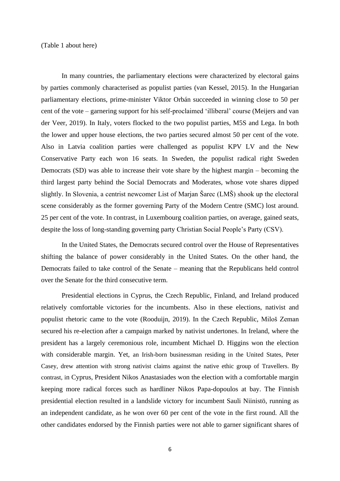(Table 1 about here)

In many countries, the parliamentary elections were characterized by electoral gains by parties commonly characterised as populist parties (van Kessel, 2015). In the Hungarian parliamentary elections, prime-minister Viktor Orbán succeeded in winning close to 50 per cent of the vote – garnering support for his self-proclaimed 'illiberal' course (Meijers and van der Veer, 2019). In Italy, voters flocked to the two populist parties, M5S and Lega. In both the lower and upper house elections, the two parties secured almost 50 per cent of the vote. Also in Latvia coalition parties were challenged as populist KPV LV and the New Conservative Party each won 16 seats. In Sweden, the populist radical right Sweden Democrats (SD) was able to increase their vote share by the highest margin – becoming the third largest party behind the Social Democrats and Moderates, whose vote shares dipped slightly. In Slovenia, a centrist newcomer List of Marjan Šarec (LMŠ) shook up the electoral scene considerably as the former governing Party of the Modern Centre (SMC) lost around. 25 per cent of the vote. In contrast, in Luxembourg coalition parties, on average, gained seats, despite the loss of long-standing governing party Christian Social People's Party (CSV).

In the United States, the Democrats secured control over the House of Representatives shifting the balance of power considerably in the United States. On the other hand, the Democrats failed to take control of the Senate – meaning that the Republicans held control over the Senate for the third consecutive term.

Presidential elections in Cyprus, the Czech Republic, Finland, and Ireland produced relatively comfortable victories for the incumbents. Also in these elections, nativist and populist rhetoric came to the vote (Rooduijn, 2019). In the Czech Republic, Miloš Zeman secured his re-election after a campaign marked by nativist undertones. In Ireland, where the president has a largely ceremonious role, incumbent Michael D. Higgins won the election with considerable margin. Yet, an Irish-born businessman residing in the United States, Peter Casey, drew attention with strong nativist claims against the native ethic group of Travellers. By contrast, in Cyprus, President Nikos Anastasiades won the election with a comfortable margin keeping more radical forces such as hardliner Nikos Papa-dopoulos at bay. The Finnish presidential election resulted in a landslide victory for incumbent Sauli Niinistö, running as an independent candidate, as he won over 60 per cent of the vote in the first round. All the other candidates endorsed by the Finnish parties were not able to garner significant shares of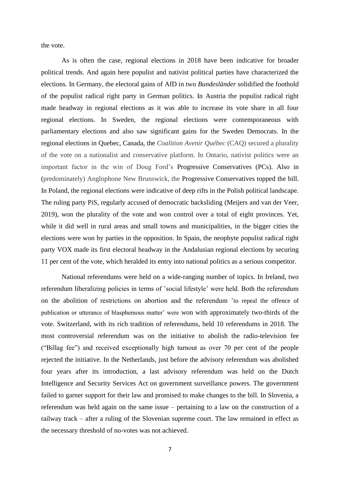the vote.

As is often the case, regional elections in 2018 have been indicative for broader political trends. And again here populist and nativist political parties have characterized the elections. In Germany, the electoral gains of AfD in two *Bundesländer* solidified the foothold of the populist radical right party in German politics. In Austria the populist radical right made headway in regional elections as it was able to increase its vote share in all four regional elections. In Sweden, the regional elections were contemporaneous with parliamentary elections and also saw significant gains for the Sweden Democrats. In the regional elections in Quebec, Canada, the *Coalition Avenir Québec* (CAQ) secured a plurality of the vote on a nationalist and conservative platform. In Ontario, nativist politics were an important factor in the win of Doug Ford's Progressive Conservatives (PCs). Also in (predominately) Anglophone New Brunswick, the Progressive Conservatives topped the bill. In Poland, the regional elections were indicative of deep rifts in the Polish political landscape. The ruling party PiS, regularly accused of democratic backsliding (Meijers and van der Veer, 2019), won the plurality of the vote and won control over a total of eight provinces. Yet, while it did well in rural areas and small towns and municipalities, in the bigger cities the elections were won by parties in the opposition. In Spain, the neophyte populist radical right party VOX made its first electoral headway in the Andalusian regional elections by securing 11 per cent of the vote, which heralded its entry into national politics as a serious competitor.

National referendums were held on a wide-ranging number of topics. In Ireland, two referendum liberalizing policies in terms of 'social lifestyle' were held. Both the referendum on the abolition of restrictions on abortion and the referendum 'to repeal the offence of publication or utterance of blasphemous matter' were won with approximately two-thirds of the vote. Switzerland, with its rich tradition of referendums, held 10 referendums in 2018. The most controversial referendum was on the initiative to abolish the radio-television fee ("Billag fee") and received exceptionally high turnout as over 70 per cent of the people rejected the initiative. In the Netherlands, just before the advisory referendum was abolished four years after its introduction, a last advisory referendum was held on the Dutch Intelligence and Security Services Act on government surveillance powers. The government failed to garner support for their law and promised to make changes to the bill. In Slovenia, a referendum was held again on the same issue – pertaining to a law on the construction of a railway track – after a ruling of the Slovenian supreme court. The law remained in effect as the necessary threshold of no-votes was not achieved.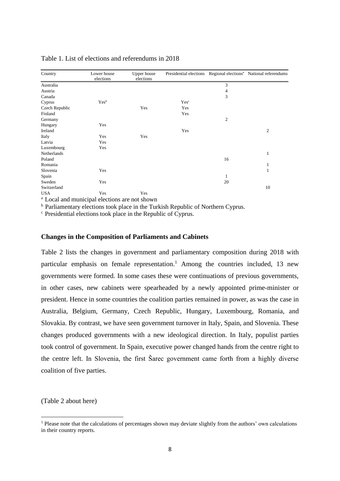| Country        | Lower house<br>elections                                 | Upper house<br>elections |                  |                | Presidential elections Regional elections <sup>a</sup> National referendums |
|----------------|----------------------------------------------------------|--------------------------|------------------|----------------|-----------------------------------------------------------------------------|
| Australia      |                                                          |                          |                  | 3              |                                                                             |
| Austria        |                                                          |                          |                  | 4              |                                                                             |
| Canada         |                                                          |                          |                  | 3              |                                                                             |
| Cyprus         | Yes <sup>b</sup>                                         |                          | Yes <sup>c</sup> |                |                                                                             |
| Czech Republic |                                                          | Yes                      | Yes              |                |                                                                             |
| Finland        |                                                          |                          | Yes              |                |                                                                             |
| Germany        |                                                          |                          |                  | $\mathfrak{2}$ |                                                                             |
| Hungary        | Yes                                                      |                          |                  |                |                                                                             |
| Ireland        |                                                          |                          | Yes              |                | $\mathfrak{2}$                                                              |
| Italy          | Yes                                                      | Yes                      |                  |                |                                                                             |
| Latvia         | Yes                                                      |                          |                  |                |                                                                             |
| Luxembourg     | Yes                                                      |                          |                  |                |                                                                             |
| Netherlands    |                                                          |                          |                  |                | 1                                                                           |
| Poland         |                                                          |                          |                  | 16             |                                                                             |
| Romania        |                                                          |                          |                  |                | 1                                                                           |
| Slovenia       | Yes                                                      |                          |                  |                | $\mathbf{1}$                                                                |
| Spain          |                                                          |                          |                  | 1              |                                                                             |
| Sweden         | Yes                                                      |                          |                  | 20             |                                                                             |
| Switzerland    |                                                          |                          |                  |                | 10                                                                          |
| <b>USA</b>     | Yes                                                      | Yes                      |                  |                |                                                                             |
|                | <sup>a</sup> Local and municipal elections are not shown |                          |                  |                |                                                                             |

Table 1. List of elections and referendums in 2018

Local and municipal elections are not shown

<sup>b</sup> Parliamentary elections took place in the Turkish Republic of Northern Cyprus.

 $\degree$  Presidential elections took place in the Republic of Cyprus.

#### **Changes in the Composition of Parliaments and Cabinets**

Table 2 lists the changes in government and parliamentary composition during 2018 with particular emphasis on female representation. <sup>1</sup> Among the countries included, 13 new governments were formed. In some cases these were continuations of previous governments, in other cases, new cabinets were spearheaded by a newly appointed prime-minister or president. Hence in some countries the coalition parties remained in power, as was the case in Australia, Belgium, Germany, Czech Republic, Hungary, Luxembourg, Romania, and Slovakia. By contrast, we have seen government turnover in Italy, Spain, and Slovenia. These changes produced governments with a new ideological direction. In Italy, populist parties took control of government. In Spain, executive power changed hands from the centre right to the centre left. In Slovenia, the first Šarec government came forth from a highly diverse coalition of five parties.

(Table 2 about here)

<sup>&</sup>lt;sup>1</sup> Please note that the calculations of percentages shown may deviate slightly from the authors' own calculations in their country reports.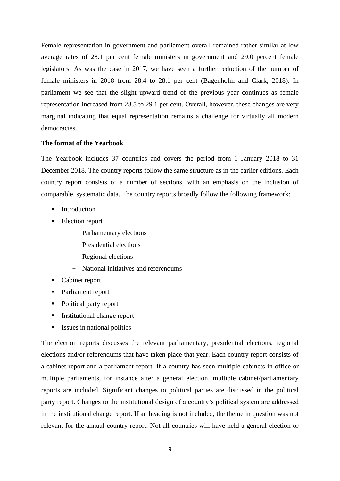Female representation in government and parliament overall remained rather similar at low average rates of 28.1 per cent female ministers in government and 29.0 percent female legislators. As was the case in 2017, we have seen a further reduction of the number of female ministers in 2018 from 28.4 to 28.1 per cent (Bågenholm and Clark, 2018). In parliament we see that the slight upward trend of the previous year continues as female representation increased from 28.5 to 29.1 per cent. Overall, however, these changes are very marginal indicating that equal representation remains a challenge for virtually all modern democracies.

#### **The format of the Yearbook**

The Yearbook includes 37 countries and covers the period from 1 January 2018 to 31 December 2018. The country reports follow the same structure as in the earlier editions. Each country report consists of a number of sections, with an emphasis on the inclusion of comparable, systematic data. The country reports broadly follow the following framework:

- **■** Introduction
- Election report
	- Parliamentary elections
	- Presidential elections
	- Regional elections
	- National initiatives and referendums
- Cabinet report
- Parliament report
- Political party report
- Institutional change report
- Issues in national politics

The election reports discusses the relevant parliamentary, presidential elections, regional elections and/or referendums that have taken place that year. Each country report consists of a cabinet report and a parliament report. If a country has seen multiple cabinets in office or multiple parliaments, for instance after a general election, multiple cabinet/parliamentary reports are included. Significant changes to political parties are discussed in the political party report. Changes to the institutional design of a country's political system are addressed in the institutional change report. If an heading is not included, the theme in question was not relevant for the annual country report. Not all countries will have held a general election or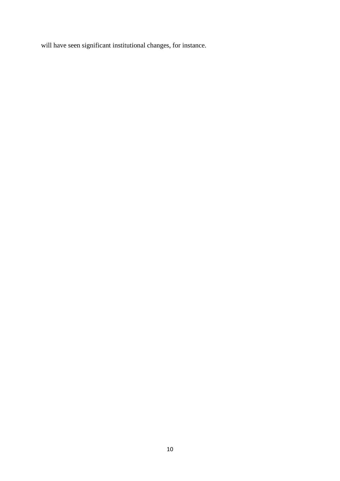will have seen significant institutional changes, for instance.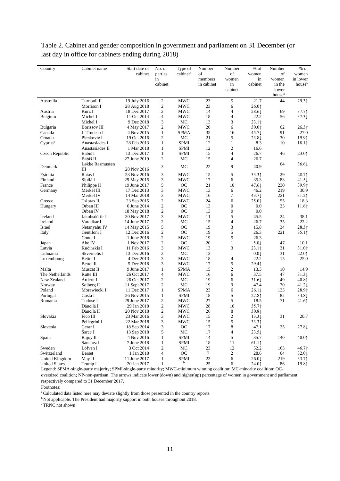| Country              | Cabinet name            | Start date of<br>cabinet   | No. of<br>parties        | Type of<br>cabinet <sup>a</sup> | Number<br>of          | Number<br>of           | % of<br>women             | Number<br>of             | $%$ of<br>women                        |
|----------------------|-------------------------|----------------------------|--------------------------|---------------------------------|-----------------------|------------------------|---------------------------|--------------------------|----------------------------------------|
|                      |                         |                            | in<br>cabinet            |                                 | members<br>in cabinet | women<br>in<br>cabinet | in<br>cabinet             | women<br>in the<br>lower | in lower<br>house <sup>b</sup>         |
|                      |                         |                            |                          |                                 |                       |                        |                           | house <sup>a</sup>       |                                        |
| Australia            | Turnbull II             | 19 July 2016               | $\boldsymbol{2}$         | <b>MWC</b>                      | 23                    | 5                      | 21.7                      | 44                       | 29.3 <sup>†</sup>                      |
|                      | Morrison I              | 28 Aug 2018                | $\sqrt{2}$               | <b>MWC</b>                      | 23                    | 6                      | 26.0                      |                          |                                        |
| Austria              | Kurz I                  | 18 Dec 2017                | $\sqrt{2}$               | MWC                             | 14                    | 4                      | 28.61                     | 69                       | 37.71                                  |
| Belgium              | Michel I                | 11 Oct 2014                | $\overline{4}$           | MWC                             | 18                    | 4                      | 22.2                      | 56                       | $37.3\downarrow$                       |
|                      | Michel I                | 9 Dec 2018                 | 3                        | MC                              | 13                    | 3                      | 23.1                      |                          |                                        |
| <b>Bulgaria</b>      | Borissov III            | 4 May 2017                 | $\overline{c}$           | <b>MWC</b>                      | 20                    | 6                      | $30.0$ 1                  | 62                       | 26.3 <sup>†</sup>                      |
| Canada               | J. Trudeau I            | 4 Nov 2015                 | $\mathbf{1}$             | <b>SPMA</b>                     | 35                    | 16                     | 45.7 <sub>1</sub>         | 91                       | 27.0                                   |
| Croatia              | Plenković I             | 19 Oct 2016                | $\sqrt{2}$               | MC                              | 21                    | 5                      | 23.81                     | 30                       | 19.91                                  |
| $C$ yprus $c$        | Anastasiades I          | 28 Feb 2013                | $\mathbf{1}$             | <b>SPMI</b>                     | 12                    | $\mathbf{1}$           | 8.3                       | 10                       | 18.1                                   |
|                      | Anastasiades II         | 1 Mar 2018                 | $\mathbf{1}$             | <b>SPMI</b>                     | 12                    | $\overline{c}$         | 16.6                      |                          |                                        |
| Czech Republic       | Babiš I                 | 13 Dec 2017                | $\mathbf{1}$             | <b>SPMI</b>                     | 15                    | 4                      | 26.7                      | 46                       | 23.01                                  |
|                      | Babiš II                | 27 June 2019               | $\overline{c}$           | MC                              | 15                    | 4                      | 26.7                      |                          |                                        |
| Denmark              | Løkke Rasmussen         |                            | 3                        | MC                              | 22                    | 9                      | 40.9                      | 64                       | 36.61                                  |
|                      | Ш                       | 28 Nov 2016                |                          |                                 |                       |                        |                           |                          |                                        |
| Estonia              | Ratas I                 | 23 Nov 2016                | 3                        | <b>MWC</b>                      | 15                    | 5<br>6                 | 33.31                     | 29                       | 28.71                                  |
| Finland              | Sipilä I                | 29 May 2015                | 3                        | <b>MWC</b>                      | 17                    |                        | 35.3                      | 83                       | 41.5                                   |
| France<br>Germany    | Philippe II             | 19 June 2017               | $\mathfrak s$<br>3       | OC<br><b>MWC</b>                | 21<br>13              | 10<br>6                | 47.6                      | 230<br>219               | 39.91                                  |
|                      | Merkel III<br>Merkel IV | 17 Dec 2013<br>14 Mar 2018 | 3                        | MWC                             | 16                    | 7                      | 46.2<br>43.7 <sub>1</sub> | 221                      | 30.9<br>$31.2$ 1                       |
| Greece               | Tsipras II              | 23 Sep 2015                | $\sqrt{2}$               | MWC                             | 24                    | 6                      | $25.0$ 1                  | 55                       | 18.3                                   |
|                      | Orban III               | 6 June 2014                | $\sqrt{2}$               | OC                              | 13                    | $\boldsymbol{0}$       | 0.0                       | 23                       | $11.6$ <sup>↑</sup>                    |
| Hungary              | Orban IV                | 18 May 2018                | $\sqrt{2}$               | <b>OC</b>                       | 13                    | $\boldsymbol{0}$       | 0.0                       |                          |                                        |
| Iceland              | Jakobsdóttir I          | 30 Nov 2017                | $\mathfrak{Z}$           | <b>MWC</b>                      | 11                    | 5                      | 45.5                      | 24                       | 38.1                                   |
| Ireland              | Varadkar I              | 14 June 2017               | $\sqrt{2}$               | MC                              | 15                    | 4                      | 26.7                      | 35                       | 22.2                                   |
| Israel               | Netanyahu IV            | 14 May 2015                | 5                        | <b>OC</b>                       | 19                    | 3                      | 15.8                      | 34                       | 28.31                                  |
| Italy                | Gentiloni I             | 12 Dec 2016                | $\sqrt{2}$               | <b>OC</b>                       | 19                    | 5                      | 26.3                      | 221                      | $35.1$ 1                               |
|                      | Conte I                 | 1 June 2018                | $\overline{c}$           | <b>MWC</b>                      | 19                    | 5                      | 26.3                      |                          |                                        |
| Japan                | Abe IV                  | 1 Nov 2017                 | $\sqrt{2}$               | <b>OC</b>                       | 20                    | $\mathbf{1}$           | 5.01                      | 47                       | 10.1                                   |
| Latvia               | Kučinskis I             | 11 Feb 2016                | 3                        | <b>MWC</b>                      | 13                    | 3                      | 23.1                      | 31                       | 31.0                                   |
| Lithuania            | Skvernelis I            | 13 Dec 2016                | $\sqrt{2}$               | MC                              | 13                    |                        | 0.01                      | 31                       | 22.01                                  |
| Luxembourg           | <b>Bettel I</b>         | 4 Dec 2013                 | 3                        | MWC                             | 18                    | 4                      | 22.2                      | 15                       | 25.0                                   |
|                      | Bettel II               | 5 Dec 2018                 | 3                        | <b>MWC</b>                      | 17                    | 5                      | 29.41                     |                          |                                        |
| Malta                | Muscat II               | 9 June 2017                | $\mathbf{1}$             | <b>SPMA</b>                     | 15                    | $\overline{c}$         | 13.3                      | 10                       | 14.9                                   |
| The Netherlands      | Rutte III               | 26 Oct 2017                | $\overline{4}$           | MWC                             | 16                    | 6                      | 37.5                      | 47                       | $31.3\downarrow$                       |
| New Zealand          | Ardern I                | 26 Oct 2017                | $\mathfrak{2}$           | MC                              | 19                    | 6                      | 31.6                      | 49                       | 40.81                                  |
| Norway               | Solberg II              | 11 Sept 2017               | $\sqrt{2}$               | MC                              | 19                    | 9                      | 47.4                      | 70                       | $41.2\downarrow$                       |
| Poland               | Morawiecki I            | 11 Dec 2017                | $\mathbf{1}$             | <b>SPMA</b>                     | 23                    | 6                      | $26.1\downarrow$          | 133                      | 28.91                                  |
| Portugal             | Costa I                 | 26 Nov 2015                | $\mathbf{1}$             | <b>SPMI</b>                     | 18                    | 5                      | $27.8$ 1                  | 82                       | $34.8\downarrow$                       |
| Romania              | Tudose I                | 29 June 2017               | $\sqrt{2}$               | <b>MWC</b>                      | 27                    | 5                      | 18.5                      | 71                       | $21.6$ <sup>↑</sup>                    |
|                      | Dăncilă I               | 29 Jan 2018                | $\sqrt{2}$               | <b>MWC</b>                      | 28                    | 10                     | 35.7                      |                          |                                        |
|                      | Dăncilă II              | 20 Nov 2018                | $\overline{c}$           | MWC                             | 26                    | 8                      | 30.81                     |                          |                                        |
| Slovakia             | Fico III                | 23 Mar 2016                | 3                        | <b>MWC</b>                      | 15                    | $\overline{2}$         | $13.3\downarrow$          | 31                       | 20.7                                   |
|                      | Pellegrini I            | 22 Mar 2018                | 3                        | $\ensuremath{\text{MWC}}$       | 15                    | 5                      | 33.3                      |                          |                                        |
| Slovenia             | Cerar I                 | 18 Sep 2014                | 3                        | $_{\rm OC}$                     | 17                    | 8                      | 47.1                      | 25                       | $27.8\downarrow$                       |
|                      | Šarec I                 | 13 Sep 2018                | 5                        | $\rm MC$                        | 17                    | 4                      | $23.5\downarrow$          |                          |                                        |
| Spain                | Rajoy II                | 4 Nov 2016                 | $\mathbf{1}$             | SPMI                            | 14                    | 5                      | 35.7                      | 140                      | $40.0$ <sup><math>\dagger</math></sup> |
|                      | Sánchez I               | 7 June 2018                | $\mathbf{1}$             | SPMI                            | 18                    | 11                     | 61.1                      |                          |                                        |
| Sweden               | Löfven I                | 3 Oct 2014                 | $\overline{\mathbf{c}}$  | МC                              | 23                    | 12                     | 52.2                      | 163                      | 46.71                                  |
| Switzerland          | Berset                  | 1 Jan 2018                 | $\overline{\mathcal{A}}$ | $_{\rm OC}$                     | $\boldsymbol{7}$      | 2                      | 28.6                      | 64                       | 32.01                                  |
| United Kingdom       | May II                  | 11 June 2017               | $\mathbf{1}$             | SPMI                            | 23                    | 6                      | $26.0\downarrow$          | 219                      | 33.7 <sup>†</sup>                      |
| <b>United States</b> | Trump I                 | 20 Jan 2017                | $\mathbf{1}$             | b                               | 25                    | 6                      | 24.0                      | 86                       | $19.8$ 1                               |

Table 2. Cabinet and gender composition in government and parliament on 31 December (or last day in office for cabinets ending during 2018)

Legend: SPMA-single-party majority; SPMI-single-party minority; MWC-minimum winning coalition; MC-minority coalition; OCoversized coalition; NP-non-partisan. The arrows indicate lower (down) and higher(up) percentage of women in government and parliament respectively compared to 31 December 2017.

Footnotes:

<sup>a</sup>Calculated data listed here may deviate slightly from those presented in the country reports.

<sup>b</sup> Not applicable. The President had majority support in both houses throughout 2018.

c TRNC not shown